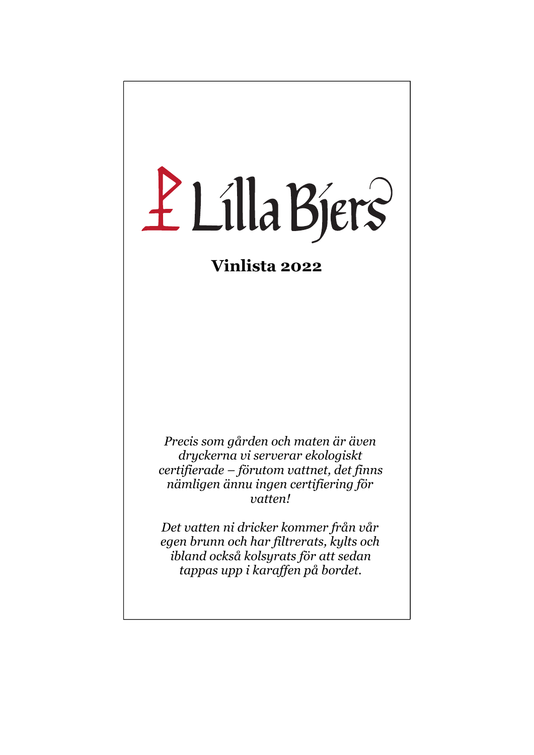# Ł Lilla Bjers

## **Vinlista 2022**

*Precis som gården och maten är även dryckerna vi serverar ekologiskt certifierade – förutom vattnet, det finns nämligen ännu ingen certifiering för vatten!* 

*Det vatten ni dricker kommer från vår egen brunn och har filtrerats, kylts och ibland också kolsyrats för att sedan tappas upp i karaffen på bordet.*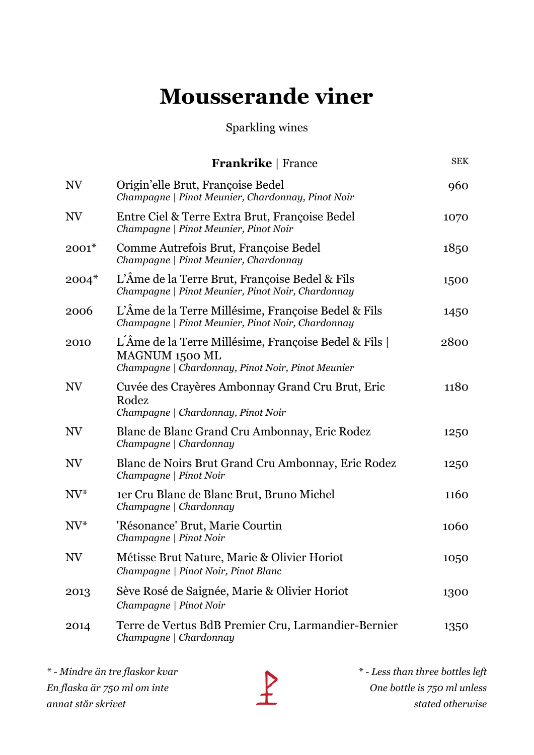# **Mousserande viner**

#### Sparkling wines

|           | <b>Frankrike</b>   France                                                                                                    | <b>SEK</b> |
|-----------|------------------------------------------------------------------------------------------------------------------------------|------------|
| NV        | Origin'elle Brut, Françoise Bedel<br>Champagne   Pinot Meunier, Chardonnay, Pinot Noir                                       | 960        |
| NV        | Entre Ciel & Terre Extra Brut, Françoise Bedel<br>Champagne   Pinot Meunier, Pinot Noir                                      | 1070       |
| $2001*$   | Comme Autrefois Brut, Françoise Bedel<br>Champagne   Pinot Meunier, Chardonnay                                               | 1850       |
| $2004*$   | L'Âme de la Terre Brut, Françoise Bedel & Fils<br>Champagne   Pinot Meunier, Pinot Noir, Chardonnay                          | 1500       |
| 2006      | L'Âme de la Terre Millésime, Françoise Bedel & Fils<br>Champagne   Pinot Meunier, Pinot Noir, Chardonnay                     | 1450       |
| 2010      | L'Âme de la Terre Millésime, Françoise Bedel & Fils  <br>MAGNUM 1500 ML<br>Champagne   Chardonnay, Pinot Noir, Pinot Meunier | 2800       |
| <b>NV</b> | Cuvée des Crayères Ambonnay Grand Cru Brut, Eric<br>Rodez<br>Champagne   Chardonnay, Pinot Noir                              | 1180       |
| NV        | Blanc de Blanc Grand Cru Ambonnay, Eric Rodez<br>Champagne   Chardonnay                                                      | 1250       |
| NV        | Blanc de Noirs Brut Grand Cru Ambonnay, Eric Rodez<br>Champagne   Pinot Noir                                                 | 1250       |
| $NV^*$    | ter Cru Blanc de Blanc Brut, Bruno Michel<br>Champagne   Chardonnay                                                          | 1160       |
| $NV^*$    | 'Résonance' Brut, Marie Courtin<br>Champagne   Pinot Noir                                                                    | 1060       |
| NV        | Métisse Brut Nature, Marie & Olivier Horiot<br>Champagne   Pinot Noir, Pinot Blanc                                           | 1050       |
| 2013      | Sève Rosé de Saignée, Marie & Olivier Horiot<br>Champagne   Pinot Noir                                                       | 1300       |
| 2014      | Terre de Vertus BdB Premier Cru, Larmandier-Bernier<br>Champagne   Chardonnay                                                | 1350       |

*\* - Mindre än tre flaskor kvar En flaska är 750 ml om inte annat står skrivet*

*\* - Less than three bottles left One bottle is 750 ml unless stated otherwise*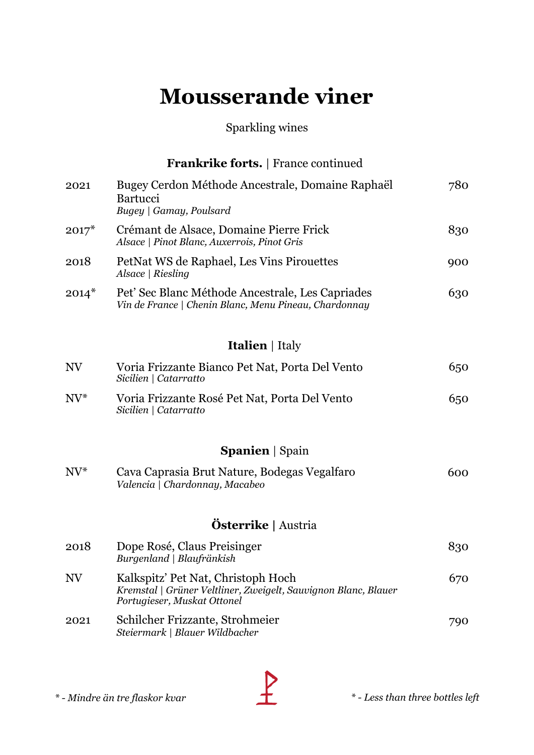## **Mousserande viner**

#### Sparkling wines

|                 | <b>Frankrike forts.</b> France continued                                                                                            |     |
|-----------------|-------------------------------------------------------------------------------------------------------------------------------------|-----|
| 2021            | Bugey Cerdon Méthode Ancestrale, Domaine Raphaël<br><b>Bartucci</b><br>Bugey   Gamay, Poulsard                                      | 780 |
| $2017^*$        | Crémant de Alsace, Domaine Pierre Frick<br>Alsace   Pinot Blanc, Auxerrois, Pinot Gris                                              | 830 |
| 2018            | PetNat WS de Raphael, Les Vins Pirouettes<br>Alsace   Riesling                                                                      | 900 |
| $2014^*$        | Pet' Sec Blanc Méthode Ancestrale, Les Capriades<br>Vin de France   Chenin Blanc, Menu Pineau, Chardonnay                           | 630 |
|                 | <b>Italien</b>   Italy                                                                                                              |     |
| $\mathrm{NV}$   | Voria Frizzante Bianco Pet Nat, Porta Del Vento<br>Sicilien   Catarratto                                                            | 650 |
| $\mathrm{NV}^*$ | Voria Frizzante Rosé Pet Nat, Porta Del Vento<br>Sicilien   Catarratto                                                              | 650 |
|                 | <b>Spanien</b>   Spain                                                                                                              |     |
| $\mathrm{NV}^*$ | Cava Caprasia Brut Nature, Bodegas Vegalfaro<br>Valencia   Chardonnay, Macabeo                                                      | 600 |
|                 | <b>Österrike</b>   Austria                                                                                                          |     |
| 2018            | Dope Rosé, Claus Preisinger<br>Burgenland   Blaufränkish                                                                            | 830 |
| $\mathrm{NV}$   | Kalkspitz' Pet Nat, Christoph Hoch<br>Kremstal   Grüner Veltliner, Zweigelt, Sauvignon Blanc, Blauer<br>Portugieser, Muskat Ottonel | 670 |
| 2021            | Schilcher Frizzante, Strohmeier<br>Steiermark   Blauer Wildbacher                                                                   | 790 |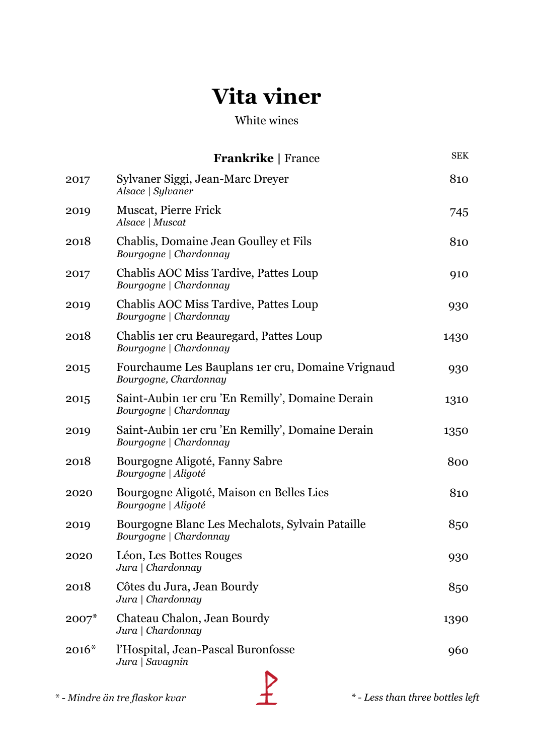#### White wines

|         | <b>Frankrike</b>   France                                                  | <b>SEK</b> |
|---------|----------------------------------------------------------------------------|------------|
| 2017    | Sylvaner Siggi, Jean-Marc Dreyer<br>Alsace   Sylvaner                      | 810        |
| 2019    | <b>Muscat, Pierre Frick</b><br>Alsace   Muscat                             | 745        |
| 2018    | Chablis, Domaine Jean Goulley et Fils<br>Bourgogne   Chardonnay            | 810        |
| 2017    | Chablis AOC Miss Tardive, Pattes Loup<br>Bourgogne   Chardonnay            | 910        |
| 2019    | Chablis AOC Miss Tardive, Pattes Loup<br>Bourgogne   Chardonnay            | 930        |
| 2018    | Chablis 1 er cru Beauregard, Pattes Loup<br>Bourgogne   Chardonnay         | 1430       |
| 2015    | Fourchaume Les Bauplans 1er cru, Domaine Vrignaud<br>Bourgogne, Chardonnay | 930        |
| 2015    | Saint-Aubin 1er cru 'En Remilly', Domaine Derain<br>Bourgogne   Chardonnay | 1310       |
| 2019    | Saint-Aubin 1er cru 'En Remilly', Domaine Derain<br>Bourgogne   Chardonnay | 1350       |
| 2018    | Bourgogne Aligoté, Fanny Sabre<br>Bourgogne   Aligoté                      | 800        |
| 2020    | Bourgogne Aligoté, Maison en Belles Lies<br>Bourgogne   Aligoté            | 810        |
| 2019    | Bourgogne Blanc Les Mechalots, Sylvain Pataille<br>Bourgogne   Chardonnay  | 850        |
| 2020    | Léon, Les Bottes Rouges<br>Jura   Chardonnay                               | 930        |
| 2018    | Côtes du Jura, Jean Bourdy<br>Jura   Chardonnay                            | 850        |
| $2007*$ | Chateau Chalon, Jean Bourdy<br>Jura   Chardonnay                           | 1390       |
| $2016*$ | l'Hospital, Jean-Pascal Buronfosse<br>Jura   Savagnin                      | 960        |

*\* - Mindre än tre flaskor kvar \* - Less than three bottles left*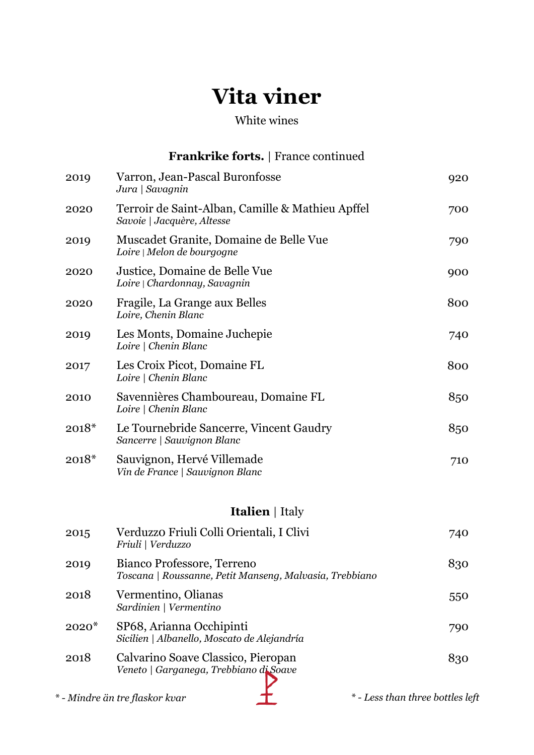#### White wines

|         | <b>Frankrike forts.</b> France continued                                              |                                  |
|---------|---------------------------------------------------------------------------------------|----------------------------------|
| 2019    | Varron, Jean-Pascal Buronfosse<br>Jura   Savagnin                                     | 920                              |
| 2020    | Terroir de Saint-Alban, Camille & Mathieu Apffel<br>Savoie   Jacquère, Altesse        | 700                              |
| 2019    | Muscadet Granite, Domaine de Belle Vue<br>Loire   Melon de bourgogne                  | 790                              |
| 2020    | Justice, Domaine de Belle Vue<br>Loire   Chardonnay, Savagnin                         | 900                              |
| 2020    | Fragile, La Grange aux Belles<br>Loire, Chenin Blanc                                  | 800                              |
| 2019    | Les Monts, Domaine Juchepie<br>Loire   Chenin Blanc                                   | 740                              |
| 2017    | Les Croix Picot, Domaine FL<br>Loire   Chenin Blanc                                   | 800                              |
| 2010    | Savennières Chamboureau, Domaine FL<br>Loire   Chenin Blanc                           | 850                              |
| $2018*$ | Le Tournebride Sancerre, Vincent Gaudry<br>Sancerre   Sauvignon Blanc                 | 850                              |
| $2018*$ | Sauvignon, Hervé Villemade<br>Vin de France   Sauvignon Blanc                         | 710                              |
|         | <b>Italien</b>   Italy                                                                |                                  |
| 2015    | Verduzzo Friuli Colli Orientali, I Clivi<br>Friuli   Verduzzo                         | 740                              |
| 2019    | Bianco Professore, Terreno<br>Toscana   Roussanne, Petit Manseng, Malvasia, Trebbiano | 830                              |
| 2018    | Vermentino, Olianas<br>Sardinien   Vermentino                                         | 550                              |
| $2020*$ | SP68, Arianna Occhipinti<br>Sicilien   Albanello, Moscato de Alejandría               | 790                              |
| 2018    | Calvarino Soave Classico, Pieropan<br>Veneto   Garganega, Trebbiano di Soave          | 830                              |
|         | * - Mindre än tre flaskor kvar                                                        | * - Less than three bottles left |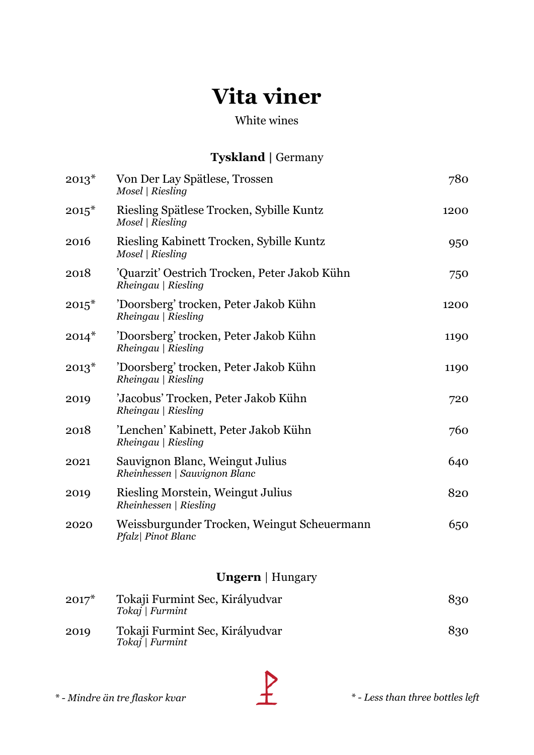#### White wines

#### **Tyskland |** Germany

| $2013*$ | Von Der Lay Spätlese, Trossen<br>Mosel   Riesling                        | 780  |
|---------|--------------------------------------------------------------------------|------|
| $2015*$ | Riesling Spätlese Trocken, Sybille Kuntz<br>Mosel   Riesling             | 1200 |
| 2016    | Riesling Kabinett Trocken, Sybille Kuntz<br>Mosel   Riesling             | 950  |
| 2018    | 'Quarzit' Oestrich Trocken, Peter Jakob Kühn<br>$Rheingau \mid Riesling$ | 750  |
| $2015*$ | 'Doorsberg' trocken, Peter Jakob Kühn<br>Rheingau   Riesling             | 1200 |
| $2014*$ | 'Doorsberg' trocken, Peter Jakob Kühn<br>$Rheingau \mid Riesling$        | 1190 |
| $2013*$ | 'Doorsberg' trocken, Peter Jakob Kühn<br>$Rheingau \mid Riesling$        | 1190 |
| 2019    | 'Jacobus' Trocken, Peter Jakob Kühn<br>$Rheingau \mid Riesling$          | 720  |
| 2018    | 'Lenchen' Kabinett, Peter Jakob Kühn<br>Rheingau   Riesling              | 760  |
| 2021    | Sauvignon Blanc, Weingut Julius<br>Rheinhessen   Sauvignon Blanc         | 640  |
| 2019    | Riesling Morstein, Weingut Julius<br>Rheinhessen   Riesling              | 820  |
| 2020    | Weissburgunder Trocken, Weingut Scheuermann<br>Pfalz  Pinot Blanc        | 650  |
|         | <b>Ungern</b>   Hungary                                                  |      |

| $2017*$ | Tokaji Furmint Sec, Királyudvar<br>Tokaj   Furmint | 830 |
|---------|----------------------------------------------------|-----|
| 2019    | Tokaji Furmint Sec, Királyudvar<br>Tokaj   Furmint | 830 |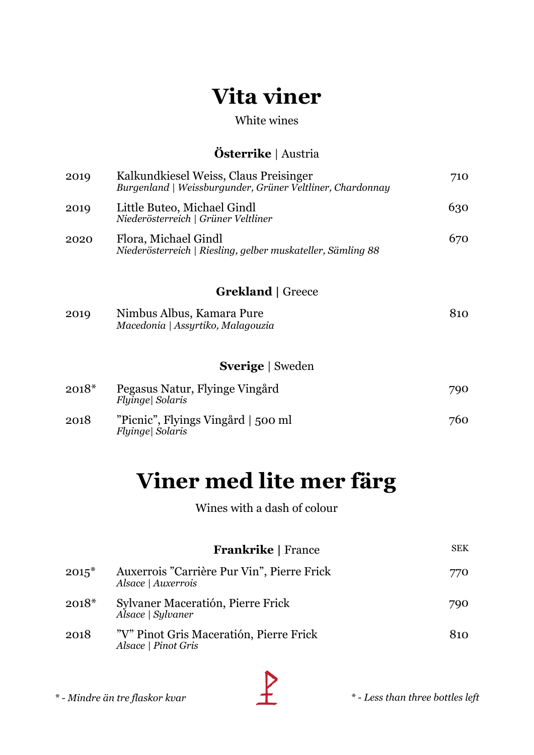#### White wines

#### **Österrike** | Austria

| 2019    | Kalkundkiesel Weiss, Claus Preisinger<br>Burgenland   Weissburgunder, Grüner Veltliner, Chardonnay | 710 |
|---------|----------------------------------------------------------------------------------------------------|-----|
| 2019    | Little Buteo, Michael Gindl<br>Niederösterreich   Grüner Veltliner                                 | 630 |
| 2020    | Flora, Michael Gindl<br>Niederösterreich   Riesling, gelber muskateller, Sämling 88                | 670 |
|         | <b>Grekland</b>   Greece                                                                           |     |
| 2019    | Nimbus Albus, Kamara Pure<br>Macedonia   Assyrtiko, Malagouzia                                     | 810 |
|         | <b>Sverige</b>   Sweden                                                                            |     |
| $2018*$ | Pegasus Natur, Flyinge Vingård<br>Flyinge  Solaris                                                 | 790 |
| 2018    | "Picnic", Flyings Vingård   500 ml<br>Flyinge  Solaris                                             | 760 |

## **Viner med lite mer färg**

Wines with a dash of colour

|         | <b>Frankrike</b>   France                                        | <b>SEK</b> |
|---------|------------------------------------------------------------------|------------|
| $2015*$ | Auxerrois "Carrière Pur Vin", Pierre Frick<br>Alsace   Auxerrois | 770        |
| $2018*$ | Sylvaner Maceratión, Pierre Frick<br>Alsace   Sylvaner           | 790        |
| 2018    | "V" Pinot Gris Maceratión, Pierre Frick<br>Alsace   Pinot Gris   | 810        |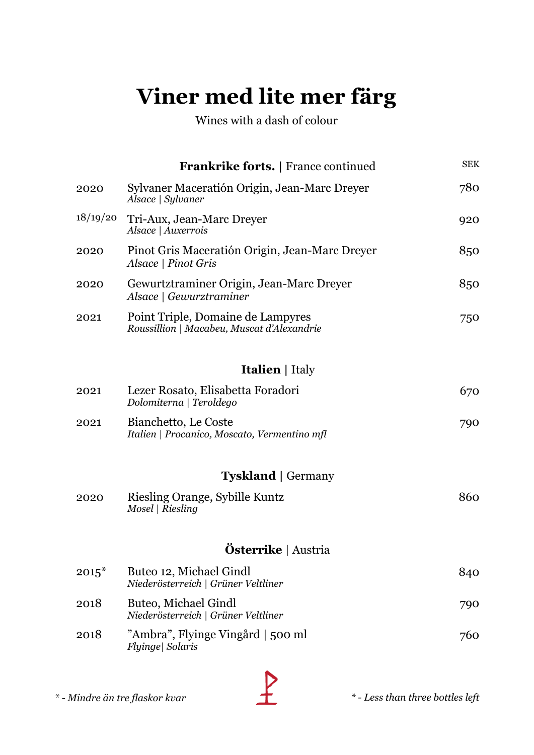# **Viner med lite mer färg**

Wines with a dash of colour

|          | <b>Frankrike forts.</b>   France continued                                      | <b>SEK</b> |
|----------|---------------------------------------------------------------------------------|------------|
| 2020     | Sylvaner Maceratión Origin, Jean-Marc Dreyer<br>Alsace   Sylvaner               | 780        |
| 18/19/20 | Tri-Aux, Jean-Marc Dreyer<br>Alsace   Auxerrois                                 | 920        |
| 2020     | Pinot Gris Maceratión Origin, Jean-Marc Dreyer<br>Alsace   Pinot Gris           | 850        |
| 2020     | Gewurtztraminer Origin, Jean-Marc Dreyer<br>Alsace   Gewurztraminer             | 850        |
| 2021     | Point Triple, Domaine de Lampyres<br>Roussillion   Macabeu, Muscat d'Alexandrie | 750        |
|          | <b>Italien</b>   Italy                                                          |            |
| 2021     | Lezer Rosato, Elisabetta Foradori<br>Dolomiterna   Teroldego                    | 670        |
| 2021     | Bianchetto, Le Coste<br>Italien   Procanico, Moscato, Vermentino mfl            | 790        |
|          | <b>Tyskland</b>   Germany                                                       |            |
| 2020     | Riesling Orange, Sybille Kuntz<br>Mosel   Riesling                              | 860        |
|          | <b>Österrike</b>   Austria                                                      |            |
| $2015*$  | Buteo 12, Michael Gindl<br>Niederösterreich   Grüner Veltliner                  | 840        |
| 2018     | <b>Buteo, Michael Gindl</b><br>Niederösterreich   Grüner Veltliner              | 790        |
| 2018     | "Ambra", Flyinge Vingård   500 ml<br>Flyinge  Solaris                           | 760        |
|          |                                                                                 |            |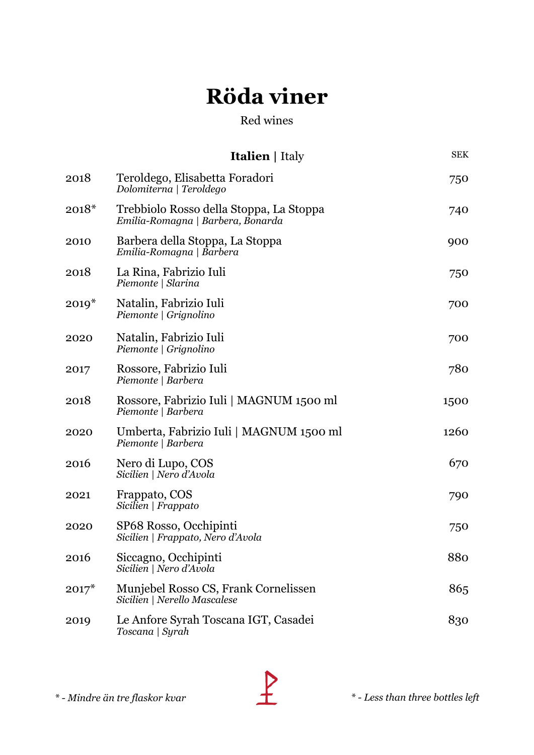|         | <b>Italien</b>   Italy                                                       | <b>SEK</b> |
|---------|------------------------------------------------------------------------------|------------|
| 2018    | Teroldego, Elisabetta Foradori<br>Dolomiterna   Teroldego                    | 750        |
| $2018*$ | Trebbiolo Rosso della Stoppa, La Stoppa<br>Emilia-Romagna   Barbera, Bonarda | 740        |
| 2010    | Barbera della Stoppa, La Stoppa<br>Emilia-Romagna   Barbera                  | 900        |
| 2018    | La Rina, Fabrizio Iuli<br>Piemonte   Slarina                                 | 750        |
| $2019*$ | Natalin, Fabrizio Iuli<br>Piemonte   Grignolino                              | 700        |
| 2020    | Natalin, Fabrizio Iuli<br>Piemonte   Grignolino                              | 700        |
| 2017    | Rossore, Fabrizio Iuli<br>Piemonte   Barbera                                 | 780        |
| 2018    | Rossore, Fabrizio Iuli   MAGNUM 1500 ml<br>Piemonte   Barbera                | 1500       |
| 2020    | Umberta, Fabrizio Iuli   MAGNUM 1500 ml<br>Piemonte   Barbera                | 1260       |
| 2016    | Nero di Lupo, COS<br>Sicilien   Nero d'Avola                                 | 670        |
| 2021    | Frappato, COS<br>Sicilien   Frappato                                         | 790        |
| 2020    | SP68 Rosso, Occhipinti<br>Sicilien   Frappato, Nero d'Avola                  | 750        |
| 2016    | Siccagno, Occhipinti<br>Sicilien   Nero d'Avola                              | 880        |
| $2017*$ | Munjebel Rosso CS, Frank Cornelissen<br>Sicilien   Nerello Mascalese         | 865        |
| 2019    | Le Anfore Syrah Toscana IGT, Casadei<br>Toscana   Syrah                      | 830        |

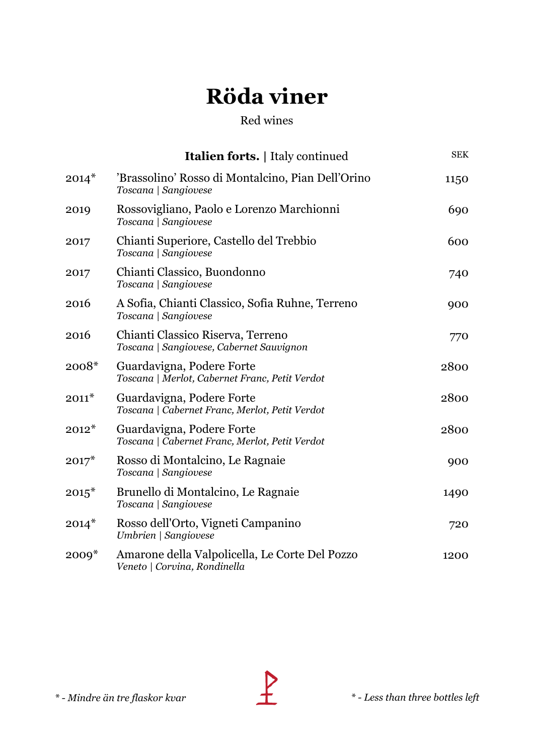|         | <b>Italien forts.</b>   Italy continued                                        | <b>SEK</b> |
|---------|--------------------------------------------------------------------------------|------------|
| $2014*$ | 'Brassolino' Rosso di Montalcino, Pian Dell'Orino<br>Toscana   Sangiovese      | 1150       |
| 2019    | Rossovigliano, Paolo e Lorenzo Marchionni<br>Toscana   Sangiovese              | 690        |
| 2017    | Chianti Superiore, Castello del Trebbio<br>Toscana   Sangiovese                | 600        |
| 2017    | Chianti Classico, Buondonno<br>Toscana   Sangiovese                            | 740        |
| 2016    | A Sofia, Chianti Classico, Sofia Ruhne, Terreno<br>Toscana   Sangiovese        | 900        |
| 2016    | Chianti Classico Riserva, Terreno<br>Toscana   Sangiovese, Cabernet Sauvignon  | 770        |
| $2008*$ | Guardavigna, Podere Forte<br>Toscana   Merlot, Cabernet Franc, Petit Verdot    | 2800       |
| $2011*$ | Guardavigna, Podere Forte<br>Toscana   Cabernet Franc, Merlot, Petit Verdot    | 2800       |
| $2012*$ | Guardavigna, Podere Forte<br>Toscana   Cabernet Franc, Merlot, Petit Verdot    | 2800       |
| $2017*$ | Rosso di Montalcino, Le Ragnaie<br>Toscana   Sangiovese                        | 900        |
| $2015*$ | Brunello di Montalcino, Le Ragnaie<br>Toscana   Sangiovese                     | 1490       |
| $2014*$ | Rosso dell'Orto, Vigneti Campanino<br>Umbrien   Sangiovese                     | 720        |
| $2009*$ | Amarone della Valpolicella, Le Corte Del Pozzo<br>Veneto   Corvina, Rondinella | 1200       |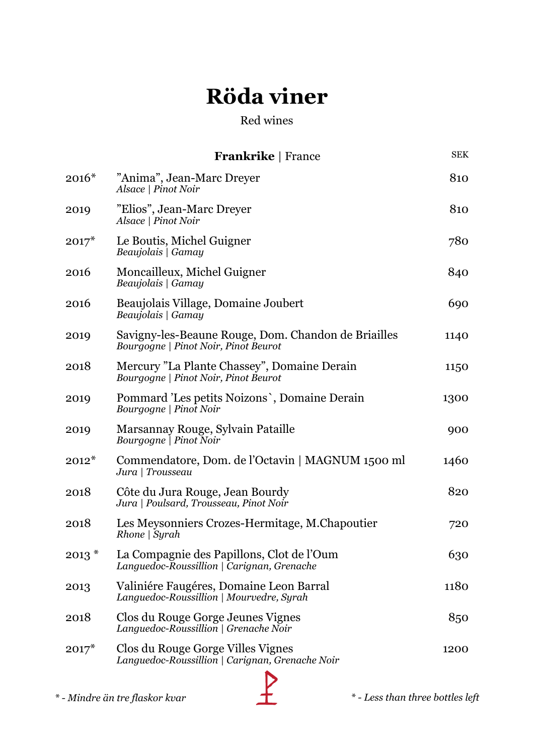|            | <b>Frankrike</b>   France                                                                   | <b>SEK</b>                     |
|------------|---------------------------------------------------------------------------------------------|--------------------------------|
| $2016*$    | "Anima", Jean-Marc Dreyer<br>Alsace   Pinot Noir                                            | 810                            |
| 2019       | "Elios", Jean-Marc Dreyer<br>Alsace   Pinot Noir                                            | 810                            |
| $2017*$    | Le Boutis, Michel Guigner<br>Beaujolais   Gamay                                             | 780                            |
| 2016       | Moncailleux, Michel Guigner<br>Beaujolais   Gamay                                           | 840                            |
| 2016       | Beaujolais Village, Domaine Joubert<br>Beaujolais   Gamay                                   | 690                            |
| 2019       | Savigny-les-Beaune Rouge, Dom. Chandon de Briailles<br>Bourgogne   Pinot Noir, Pinot Beurot | 1140                           |
| 2018       | Mercury "La Plante Chassey", Domaine Derain<br>Bourgogne   Pinot Noir, Pinot Beurot         | 1150                           |
| 2019       | Pommard 'Les petits Noizons', Domaine Derain<br>Bourgogne   Pinot Noir                      | 1300                           |
| 2019       | Marsannay Rouge, Sylvain Pataille<br>Bourgogne   Pinot Noir                                 | 900                            |
| $2012*$    | Commendatore, Dom. de l'Octavin   MAGNUM 1500 ml<br>Jura   Trousseau                        | 1460                           |
| 2018       | Côte du Jura Rouge, Jean Bourdy<br>Jura   Poulsard, Trousseau, Pinot Noir                   | 820                            |
| 2018       | Les Meysonniers Crozes-Hermitage, M.Chapoutier<br>$Rhone \mid Syrah$                        | 720                            |
| $2013$ $*$ | La Compagnie des Papillons, Clot de l'Oum<br>Languedoc-Roussillion   Carignan, Grenache     | 630                            |
| 2013       | Valiniére Faugéres, Domaine Leon Barral<br>Languedoc-Roussillion   Mourvedre, Syrah         | 1180                           |
| 2018       | Clos du Rouge Gorge Jeunes Vignes<br>Languedoc-Roussillion   Grenache Noir                  | 850                            |
| $2017*$    | Clos du Rouge Gorge Villes Vignes<br>Languedoc-Roussillion   Carignan, Grenache Noir        | 1200                           |
|            |                                                                                             |                                |
|            | * - Mindre än tre flaskor kvar                                                              | *-Less than three bottles left |

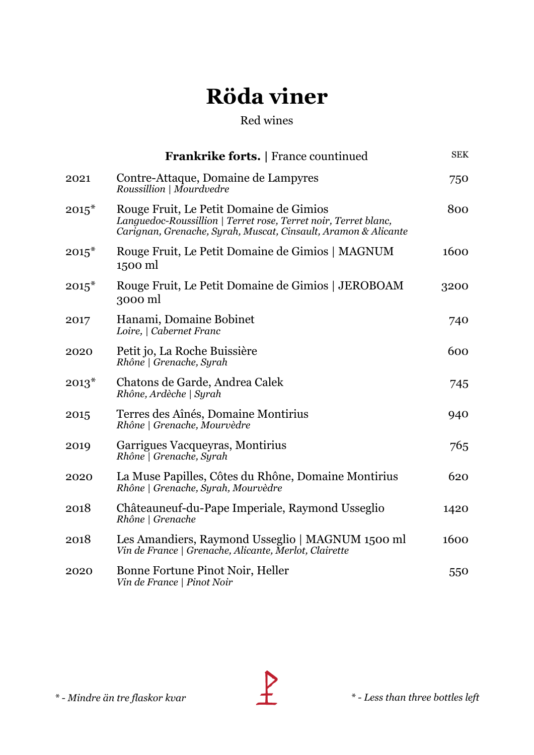|         | <b>Frankrike forts.</b>   France countinued                                                                                                                                  | <b>SEK</b> |
|---------|------------------------------------------------------------------------------------------------------------------------------------------------------------------------------|------------|
| 2021    | Contre-Attaque, Domaine de Lampyres<br>Roussillion   Mourdvedre                                                                                                              | 750        |
| $2015*$ | Rouge Fruit, Le Petit Domaine de Gimios<br>Languedoc-Roussillion   Terret rose, Terret noir, Terret blanc,<br>Carignan, Grenache, Syrah, Muscat, Cinsault, Aramon & Alicante | 800        |
| $2015*$ | Rouge Fruit, Le Petit Domaine de Gimios   MAGNUM<br>1500 ml                                                                                                                  | 1600       |
| $2015*$ | Rouge Fruit, Le Petit Domaine de Gimios   JEROBOAM<br>3000 ml                                                                                                                | 3200       |
| 2017    | Hanami, Domaine Bobinet<br>Loire,   Cabernet Franc                                                                                                                           | 740        |
| 2020    | Petit jo, La Roche Buissière<br>Rhône   Grenache, Syrah                                                                                                                      | 600        |
| $2013*$ | Chatons de Garde, Andrea Calek<br>Rhône, Ardèche   Syrah                                                                                                                     | 745        |
| 2015    | Terres des Aînés, Domaine Montirius<br>Rhône   Grenache, Mourvèdre                                                                                                           | 940        |
| 2019    | Garrigues Vacqueyras, Montirius<br>Rhône   Grenache, Syrah                                                                                                                   | 765        |
| 2020    | La Muse Papilles, Côtes du Rhône, Domaine Montirius<br>Rhône   Grenache, Syrah, Mourvèdre                                                                                    | 620        |
| 2018    | Châteauneuf-du-Pape Imperiale, Raymond Usseglio<br>Rhône   Grenache                                                                                                          | 1420       |
| 2018    | Les Amandiers, Raymond Usseglio   MAGNUM 1500 ml<br>Vin de France   Grenache, Alicante, Merlot, Clairette                                                                    | 1600       |
| 2020    | Bonne Fortune Pinot Noir, Heller<br>Vin de France   Pinot Noir                                                                                                               | 550        |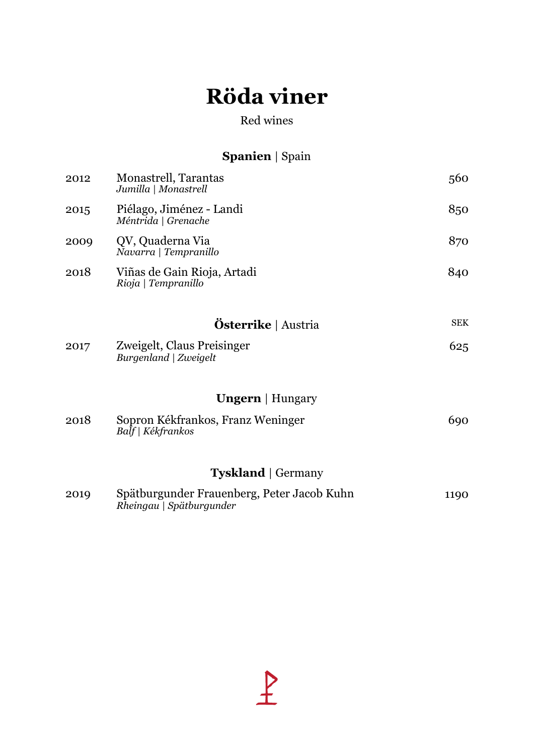#### Red wines

### **Spanien** | Spain

| 2012                      | Monastrell, Tarantas<br>Jumilla   Monastrell                           | 560        |  |
|---------------------------|------------------------------------------------------------------------|------------|--|
| 2015                      | Piélago, Jiménez - Landi<br>Méntrida   Grenache                        | 850        |  |
| 2009                      | QV, Quaderna Via<br>Navarra   Tempranillo                              | 870        |  |
| 2018                      | Viñas de Gain Rioja, Artadi<br>Rioja   Tempranillo                     | 840        |  |
|                           | <b>Österrike</b>   Austria                                             | <b>SEK</b> |  |
| 2017                      | Zweigelt, Claus Preisinger<br>Burgenland   Zweigelt                    | 625        |  |
|                           | <b>Ungern</b>   Hungary                                                |            |  |
| 2018                      | Sopron Kékfrankos, Franz Weninger<br>Balf   Kékfrankos                 | 690        |  |
| <b>Tyskland</b>   Germany |                                                                        |            |  |
| 2019                      | Spätburgunder Frauenberg, Peter Jacob Kuhn<br>Rheingau   Spätburgunder | 1190       |  |